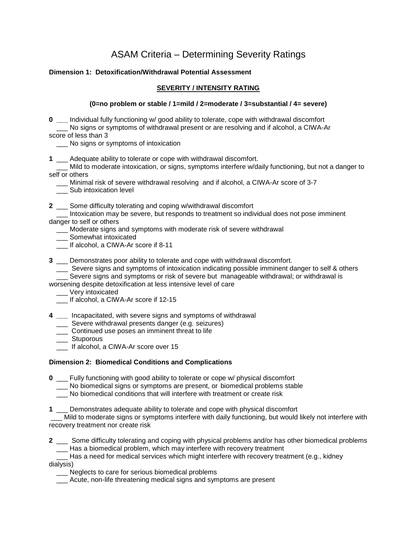# ASAM Criteria – Determining Severity Ratings

#### **Dimension 1: Detoxification/Withdrawal Potential Assessment**

#### **SEVERITY / INTENSITY RATING**

#### **(0=no problem or stable / 1=mild / 2=moderate / 3=substantial / 4= severe)**

**0 \_\_\_** Individual fully functioning w/ good ability to tolerate, cope with withdrawal discomfort \_\_\_ No signs or symptoms of withdrawal present or are resolving and if alcohol, a CIWA-Ar score of less than 3

No signs or symptoms of intoxication

**1** \_\_\_ Adequate ability to tolerate or cope with withdrawal discomfort.

 \_\_\_ Mild to moderate intoxication, or signs, symptoms interfere w/daily functioning, but not a danger to self or others

\_\_\_ Minimal risk of severe withdrawal resolving and if alcohol, a CIWA-Ar score of 3-7

\_\_\_ Sub intoxication level

**2** \_\_\_ Some difficulty tolerating and coping w/withdrawal discomfort

 \_\_\_ Intoxication may be severe, but responds to treatment so individual does not pose imminent danger to self or others

\_\_\_ Moderate signs and symptoms with moderate risk of severe withdrawal

\_\_\_ Somewhat intoxicated

\_\_\_ If alcohol, a CIWA-Ar score if 8-11

**3** \_\_\_ Demonstrates poor ability to tolerate and cope with withdrawal discomfort.

\_\_\_ Severe signs and symptoms of intoxication indicating possible imminent danger to self & others

Severe signs and symptoms or risk of severe but manageable withdrawal; or withdrawal is

worsening despite detoxification at less intensive level of care

\_\_\_ Very intoxicated

If alcohol, a CIWA-Ar score if 12-15

**4 \_\_\_** Incapacitated, with severe signs and symptoms of withdrawal

- \_\_\_ Severe withdrawal presents danger (e.g. seizures)
- \_\_\_ Continued use poses an imminent threat to life
- \_\_\_\_ Stuporous
- \_\_\_ If alcohol, a CIWA-Ar score over 15

### **Dimension 2: Biomedical Conditions and Complications**

**0** \_\_\_ Fully functioning with good ability to tolerate or cope w/ physical discomfort

\_\_\_ No biomedical signs or symptoms are present, or biomedical problems stable

\_\_\_ No biomedical conditions that will interfere with treatment or create risk

**1** \_\_\_ Demonstrates adequate ability to tolerate and cope with physical discomfort

Mild to moderate signs or symptoms interfere with daily functioning, but would likely not interfere with recovery treatment nor create risk

**2** \_\_\_ Some difficulty tolerating and coping with physical problems and/or has other biomedical problems \_\_\_ Has a biomedical problem, which may interfere with recovery treatment

Has a need for medical services which might interfere with recovery treatment (e.g., kidney dialysis)

\_\_\_ Neglects to care for serious biomedical problems

\_\_\_ Acute, non-life threatening medical signs and symptoms are present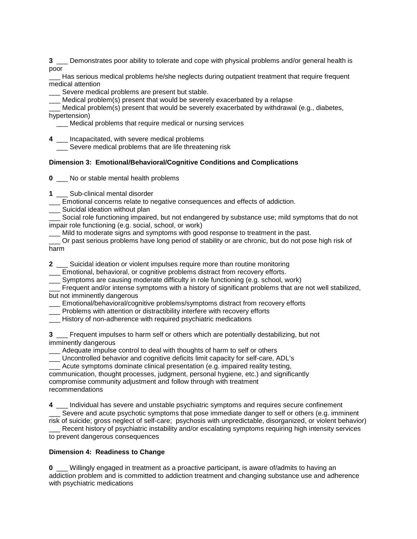**3** \_\_\_ Demonstrates poor ability to tolerate and cope with physical problems and/or general health is poor

Has serious medical problems he/she neglects during outpatient treatment that require frequent medical attention

Severe medical problems are present but stable.

Medical problem(s) present that would be severely exacerbated by a relapse

Medical problem(s) present that would be severely exacerbated by withdrawal (e.g., diabetes, hypertension)

\_\_\_ Medical problems that require medical or nursing services

**4** \_\_\_ Incapacitated, with severe medical problems

Severe medical problems that are life threatening risk

#### **Dimension 3: Emotional/Behavioral/Cognitive Conditions and Complications**

**0** \_\_\_ No or stable mental health problems

**1** \_\_\_ Sub-clinical mental disorder

\_\_\_ Emotional concerns relate to negative consequences and effects of addiction.

\_\_\_ Suicidal ideation without plan

Social role functioning impaired, but not endangered by substance use; mild symptoms that do not impair role functioning (e.g. social, school, or work)

Mild to moderate signs and symptoms with good response to treatment in the past.

\_\_\_ Or past serious problems have long period of stability or are chronic, but do not pose high risk of harm

**2** \_\_\_ Suicidal ideation or violent impulses require more than routine monitoring

Emotional, behavioral, or cognitive problems distract from recovery efforts.

\_\_\_ Symptoms are causing moderate difficulty in role functioning (e.g. school, work)

\_\_\_ Frequent and/or intense symptoms with a history of significant problems that are not well stabilized, but not imminently dangerous

\_\_\_ Emotional/behavioral/cognitive problems/symptoms distract from recovery efforts

\_\_\_ Problems with attention or distractibility interfere with recovery efforts

\_\_\_ History of non-adherence with required psychiatric medications

**3** \_\_\_ Frequent impulses to harm self or others which are potentially destabilizing, but not imminently dangerous

\_\_\_ Adequate impulse control to deal with thoughts of harm to self or others

\_\_\_ Uncontrolled behavior and cognitive deficits limit capacity for self-care, ADL's

Acute symptoms dominate clinical presentation (e.g. impaired reality testing,

communication, thought processes, judgment, personal hygiene, etc.) and significantly compromise community adjustment and follow through with treatment recommendations

**4** \_\_\_ Individual has severe and unstable psychiatric symptoms and requires secure confinement Severe and acute psychotic symptoms that pose immediate danger to self or others (e.g. imminent risk of suicide; gross neglect of self-care; psychosis with unpredictable, disorganized, or violent behavior) Recent history of psychiatric instability and/or escalating symptoms requiring high intensity services

to prevent dangerous consequences

#### **Dimension 4: Readiness to Change**

**0** \_\_\_ Willingly engaged in treatment as a proactive participant, is aware of/admits to having an addiction problem and is committed to addiction treatment and changing substance use and adherence with psychiatric medications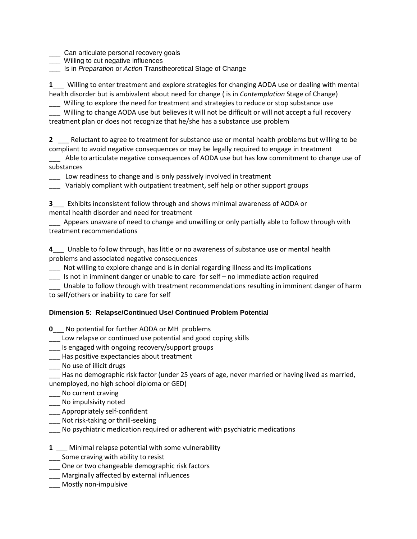\_\_\_ Can articulate personal recovery goals

- \_\_\_ Willing to cut negative influences
- \_\_\_ Is in *Preparation* or *Action* Transtheoretical Stage of Change

**1**\_\_\_ Willing to enter treatment and explore strategies for changing AODA use or dealing with mental health disorder but is ambivalent about need for change ( is in *Contemplation* Stage of Change)

\_\_\_ Willing to explore the need for treatment and strategies to reduce or stop substance use \_\_\_ Willing to change AODA use but believes it will not be difficult or will not accept a full recovery treatment plan or does not recognize that he/she has a substance use problem

**2** \_\_\_ Reluctant to agree to treatment for substance use or mental health problems but willing to be compliant to avoid negative consequences or may be legally required to engage in treatment

Able to articulate negative consequences of AODA use but has low commitment to change use of substances

\_\_\_ Low readiness to change and is only passively involved in treatment

\_\_\_ Variably compliant with outpatient treatment, self help or other support groups

**3**\_\_\_ Exhibits inconsistent follow through and shows minimal awareness of AODA or mental health disorder and need for treatment

Appears unaware of need to change and unwilling or only partially able to follow through with treatment recommendations

**4**\_\_\_ Unable to follow through, has little or no awareness of substance use or mental health problems and associated negative consequences

\_\_\_ Not willing to explore change and is in denial regarding illness and its implications

\_\_\_ Is not in imminent danger or unable to care for self – no immediate action required

\_\_\_ Unable to follow through with treatment recommendations resulting in imminent danger of harm to self/others or inability to care for self

## **Dimension 5: Relapse/Continued Use/ Continued Problem Potential**

**0**\_\_\_ No potential for further AODA or MH problems

\_\_\_ Low relapse or continued use potential and good coping skills

\_\_\_ Is engaged with ongoing recovery/support groups

- \_\_\_ Has positive expectancies about treatment
- \_\_\_ No use of illicit drugs

Has no demographic risk factor (under 25 years of age, never married or having lived as married, unemployed, no high school diploma or GED)

- \_\_\_ No current craving
- \_\_\_ No impulsivity noted
- \_\_\_ Appropriately self-confident
- \_\_\_ Not risk-taking or thrill-seeking
- \_\_\_ No psychiatric medication required or adherent with psychiatric medications
- **1** \_\_\_ Minimal relapse potential with some vulnerability
- Some craving with ability to resist
- \_\_\_ One or two changeable demographic risk factors
- \_\_\_ Marginally affected by external influences
- \_\_\_ Mostly non-impulsive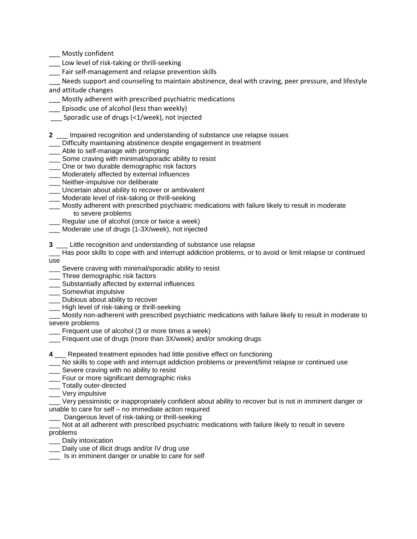Mostly confident

- Low level of risk-taking or thrill-seeking
- Fair self-management and relapse prevention skills

Needs support and counseling to maintain abstinence, deal with craving, peer pressure, and lifestyle and attitude changes

- \_\_\_ Mostly adherent with prescribed psychiatric medications
- \_\_\_ Episodic use of alcohol (less than weekly)
- \_\_\_ Sporadic use of drugs (<1/week), not injected
- **2** \_\_\_ Impaired recognition and understanding of substance use relapse issues
- Difficulty maintaining abstinence despite engagement in treatment
- \_\_\_ Able to self-manage with prompting
- **Some craving with minimal/sporadic ability to resist**
- \_\_\_ One or two durable demographic risk factors
- \_\_\_ Moderately affected by external influences
- \_\_\_\_ Neither-impulsive nor deliberate
- \_\_\_ Uncertain about ability to recover or ambivalent
- \_\_\_ Moderate level of risk-taking or thrill-seeking
- \_\_\_ Mostly adherent with prescribed psychiatric medications with failure likely to result in moderate to severe problems
- \_\_\_ Regular use of alcohol (once or twice a week)
- \_\_\_ Moderate use of drugs (1-3X/week), not injected

**3** \_\_\_ Little recognition and understanding of substance use relapse

- Has poor skills to cope with and interrupt addiction problems, or to avoid or limit relapse or continued use
- Severe craving with minimal/sporadic ability to resist
- \_\_\_ Three demographic risk factors
- **\_\_\_** Substantially affected by external influences
- \_\_\_ Somewhat impulsive
- \_\_\_ Dubious about ability to recover
- \_\_\_ High level of risk-taking or thrill-seeking

\_\_\_ Mostly non-adherent with prescribed psychiatric medications with failure likely to result in moderate to severe problems

- Frequent use of alcohol (3 or more times a week)
- Frequent use of drugs (more than 3X/week) and/or smoking drugs
- **4** \_\_\_ Repeated treatment episodes had little positive effect on functioning
- No skills to cope with and interrupt addiction problems or prevent/limit relapse or continued use
- \_\_\_ Severe craving with no ability to resist
- \_\_\_ Four or more significant demographic risks
- \_\_\_ Totally outer-directed
- \_\_\_ Very impulsive

\_\_\_ Very pessimistic or inappropriately confident about ability to recover but is not in imminent danger or unable to care for self – no immediate action required

- Dangerous level of risk-taking or thrill-seeking
- Not at all adherent with prescribed psychiatric medications with failure likely to result in severe problems
- Daily intoxication
- \_\_\_ Daily use of illicit drugs and/or IV drug use
- Is in imminent danger or unable to care for self